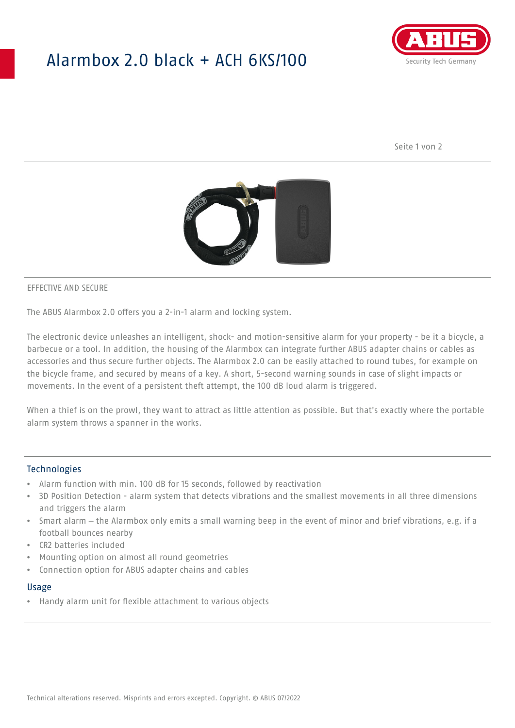## Alarmbox 2.0 black + ACH 6KS/100



Seite 1 von 2



#### EFFECTIVE AND SECURE

The ABUS Alarmbox 2.0 offers you a 2-in-1 alarm and locking system.

The electronic device unleashes an intelligent, shock- and motion-sensitive alarm for your property - be it a bicycle, a barbecue or a tool. In addition, the housing of the Alarmbox can integrate further ABUS adapter chains or cables as accessories and thus secure further objects. The Alarmbox 2.0 can be easily attached to round tubes, for example on the bicycle frame, and secured by means of a key. A short, 5-second warning sounds in case of slight impacts or movements. In the event of a persistent theft attempt, the 100 dB loud alarm is triggered.

When a thief is on the prowl, they want to attract as little attention as possible. But that's exactly where the portable alarm system throws a spanner in the works.

## Technologies

- Alarm function with min. 100 dB for 15 seconds, followed by reactivation
- 3D Position Detection alarm system that detects vibrations and the smallest movements in all three dimensions and triggers the alarm
- Smart alarm the Alarmbox only emits a small warning beep in the event of minor and brief vibrations, e.g. if a football bounces nearby
- CR2 batteries included
- Mounting option on almost all round geometries
- Connection option for ABUS adapter chains and cables

#### Usage

• Handy alarm unit for flexible attachment to various objects